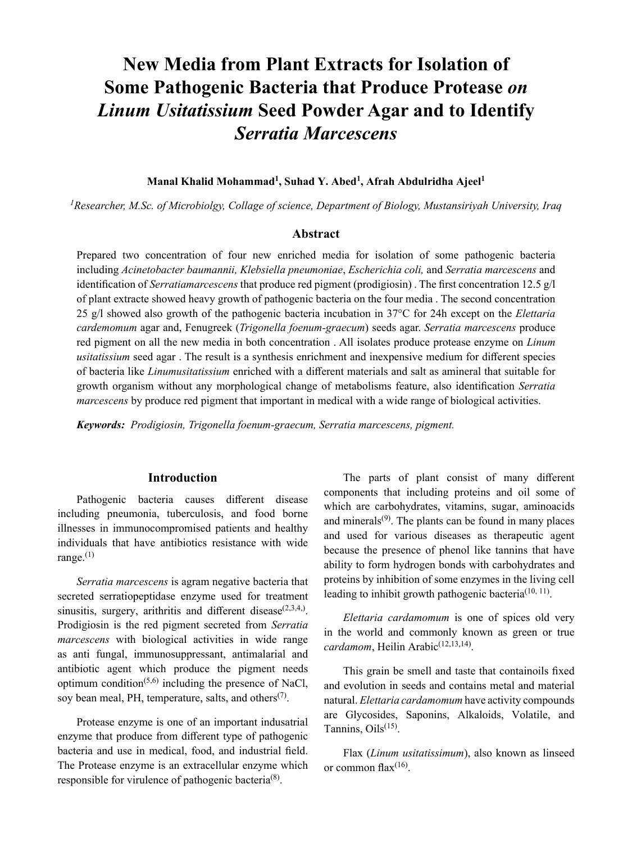# **New Media from Plant Extracts for Isolation of Some Pathogenic Bacteria that Produce Protease** *on Linum Usitatissium* **Seed Powder Agar and to Identify** *Serratia Marcescens*

### **Manal Khalid Mohammad<sup>1</sup> , Suhad Y. Abed<sup>1</sup> , Afrah Abdulridha Ajeel<sup>1</sup>**

*1 Researcher, M.Sc. of Microbiolgy, Collage of science, Department of Biology, Mustansiriyah University, Iraq*

# **Abstract**

Prepared two concentration of four new enriched media for isolation of some pathogenic bacteria including *Acinetobacter baumannii, Klebsiella pneumoniae*, *Escherichia coli,* and *Serratia marcescens* and identification of *Serratiamarcescens* that produce red pigment (prodigiosin) . The first concentration 12.5 g/l of plant extracte showed heavy growth of pathogenic bacteria on the four media . The second concentration 25 g/l showed also growth of the pathogenic bacteria incubation in 37°C for 24h except on the *Elettaria cardemomum* agar and, Fenugreek (*Trigonella foenum-graecum*) seeds agar. *Serratia marcescens* produce red pigment on all the new media in both concentration . All isolates produce protease enzyme on *Linum usitatissium* seed agar . The result is a synthesis enrichment and inexpensive medium for different species of bacteria like *Linumusitatissium* enriched with a different materials and salt as amineral that suitable for growth organism without any morphological change of metabolisms feature, also identification *Serratia marcescens* by produce red pigment that important in medical with a wide range of biological activities.

*Keywords: Prodigiosin, Trigonella foenum-graecum, Serratia marcescens, pigment.*

#### **Introduction**

Pathogenic bacteria causes different disease including pneumonia, tuberculosis, and food borne illnesses in immunocompromised patients and healthy individuals that have antibiotics resistance with wide range. $(1)$ 

*Serratia marcescens* is agram negative bacteria that secreted serratiopeptidase enzyme used for treatment sinusitis, surgery, arithritis and different disease<sup> $(2,3,4,)$ </sup>. Prodigiosin is the red pigment secreted from *Serratia marcescens* with biological activities in wide range as anti fungal, immunosuppressant, antimalarial and antibiotic agent which produce the pigment needs optimum condition<sup> $(5,6)$ </sup> including the presence of NaCl, soy bean meal, PH, temperature, salts, and others<sup> $(7)$ </sup>.

Protease enzyme is one of an important indusatrial enzyme that produce from different type of pathogenic bacteria and use in medical, food, and industrial field. The Protease enzyme is an extracellular enzyme which responsible for virulence of pathogenic bacteria<sup>(8)</sup>.

The parts of plant consist of many different components that including proteins and oil some of which are carbohydrates, vitamins, sugar, aminoacids and minerals $(9)$ . The plants can be found in many places and used for various diseases as therapeutic agent because the presence of phenol like tannins that have ability to form hydrogen bonds with carbohydrates and proteins by inhibition of some enzymes in the living cell leading to inhibit growth pathogenic bacteria<sup>(10, 11)</sup>.

*Elettaria cardamomum* is one of spices old very in the world and commonly known as green or true cardamom, Heilin Arabic<sup>(12,13,14)</sup>.

This grain be smell and taste that containoils fixed and evolution in seeds and contains metal and material natural. *Elettaria cardamomum* have activity compounds are Glycosides, Saponins, Alkaloids, Volatile, and Tannins,  $Oils^{(15)}$ .

Flax (*Linum usitatissimum*), also known as linseed or common flax $(16)$ .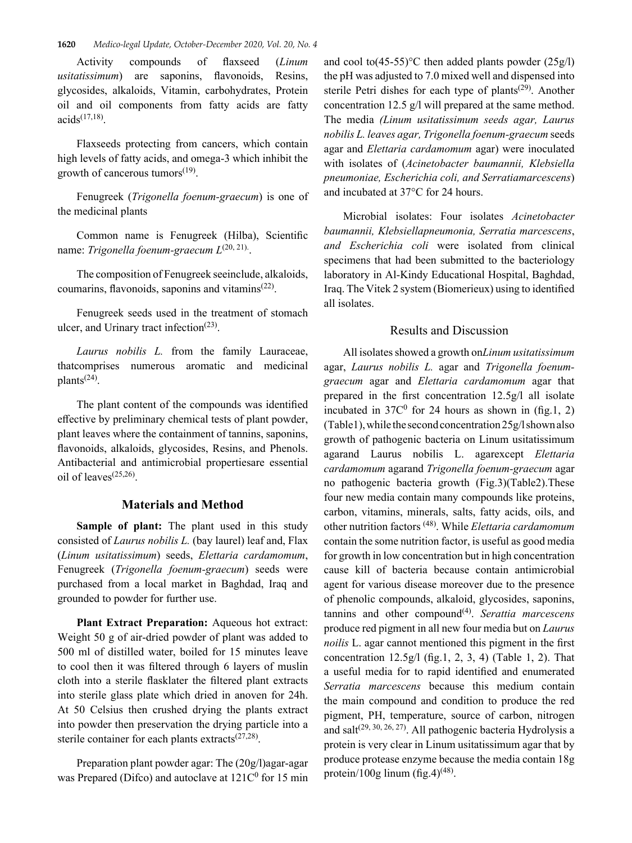Activity compounds of flaxseed (*Linum usitatissimum*) are saponins, flavonoids, Resins, glycosides, alkaloids, Vitamin, carbohydrates, Protein oil and oil components from fatty acids are fatty  $acids^{(17,18)}$ .

Flaxseeds protecting from cancers, which contain high levels of fatty acids, and omega-3 which inhibit the growth of cancerous tumors $^{(19)}$ .

Fenugreek (*Trigonella foenum-graecum*) is one of the medicinal plants

Common name is Fenugreek (Hilba), Scientific name: *Trigonella foenum-graecum*  $L^{(20, 21)}$ .

The composition of Fenugreek seeinclude, alkaloids, coumarins, flavonoids, saponins and vitamins $(22)$ .

Fenugreek seeds used in the treatment of stomach ulcer, and Urinary tract infection<sup>(23)</sup>.

*Laurus nobilis L.* from the family Lauraceae, thatcomprises numerous aromatic and medicinal plants(24).

The plant content of the compounds was identified effective by preliminary chemical tests of plant powder, plant leaves where the containment of tannins, saponins, flavonoids, alkaloids, glycosides, Resins, and Phenols. Antibacterial and antimicrobial propertiesare essential oil of leaves(25,26).

## **Materials and Method**

**Sample of plant:** The plant used in this study consisted of *Laurus nobilis L.* (bay laurel) leaf and, Flax (*Linum usitatissimum*) seeds, *Elettaria cardamomum*, Fenugreek (*Trigonella foenum-graecum*) seeds were purchased from a local market in Baghdad, Iraq and grounded to powder for further use.

**Plant Extract Preparation:** Aqueous hot extract: Weight 50 g of air-dried powder of plant was added to 500 ml of distilled water, boiled for 15 minutes leave to cool then it was filtered through 6 layers of muslin cloth into a sterile flasklater the filtered plant extracts into sterile glass plate which dried in anoven for 24h. At 50 Celsius then crushed drying the plants extract into powder then preservation the drying particle into a sterile container for each plants extracts $(27,28)$ .

Preparation plant powder agar: The (20g/l)agar-agar was Prepared (Difco) and autoclave at  $121C<sup>0</sup>$  for 15 min

and cool to  $(45-55)$ °C then added plants powder  $(25g/l)$ the pH was adjusted to 7.0 mixed well and dispensed into sterile Petri dishes for each type of plants<sup> $(29)$ </sup>. Another concentration 12.5 g/l will prepared at the same method. The media *(Linum usitatissimum seeds agar, Laurus nobilis L. leaves agar, Trigonella foenum-graecum* seeds agar and *Elettaria cardamomum* agar) were inoculated with isolates of (*Acinetobacter baumannii, Klebsiella pneumoniae, Escherichia coli, and Serratiamarcescens*) and incubated at 37°C for 24 hours.

Microbial isolates: Four isolates *Acinetobacter baumannii, Klebsiellapneumonia, Serratia marcescens*, *and Escherichia coli* were isolated from clinical specimens that had been submitted to the bacteriology laboratory in Al-Kindy Educational Hospital, Baghdad, Iraq. The Vitek 2 system (Biomerieux) using to identified all isolates.

#### Results and Discussion

All isolates showed a growth on*Linum usitatissimum*  agar, *Laurus nobilis L.* agar and *Trigonella foenumgraecum* agar and *Elettaria cardamomum* agar that prepared in the first concentration 12.5g/l all isolate incubated in  $37C^0$  for 24 hours as shown in (fig.1, 2) (Table1), while the second concentration 25g/l shown also growth of pathogenic bacteria on Linum usitatissimum agarand Laurus nobilis L. agarexcept *Elettaria cardamomum* agarand *Trigonella foenum-graecum* agar no pathogenic bacteria growth (Fig.3)(Table2).These four new media contain many compounds like proteins, carbon, vitamins, minerals, salts, fatty acids, oils, and other nutrition factors (48). While *Elettaria cardamomum* contain the some nutrition factor, is useful as good media for growth in low concentration but in high concentration cause kill of bacteria because contain antimicrobial agent for various disease moreover due to the presence of phenolic compounds, alkaloid, glycosides, saponins, tannins and other compound(4). *Serattia marcescens* produce red pigment in all new four media but on *Laurus noilis* L. agar cannot mentioned this pigment in the first concentration  $12.5g/1$  (fig.1, 2, 3, 4) (Table 1, 2). That a useful media for to rapid identified and enumerated *Serratia marcescens* because this medium contain the main compound and condition to produce the red pigment, PH, temperature, source of carbon, nitrogen and salt $(29, 30, 26, 27)$ . All pathogenic bacteria Hydrolysis a protein is very clear in Linum usitatissimum agar that by produce protease enzyme because the media contain 18g protein/100g linum (fig.4)<sup>(48)</sup>.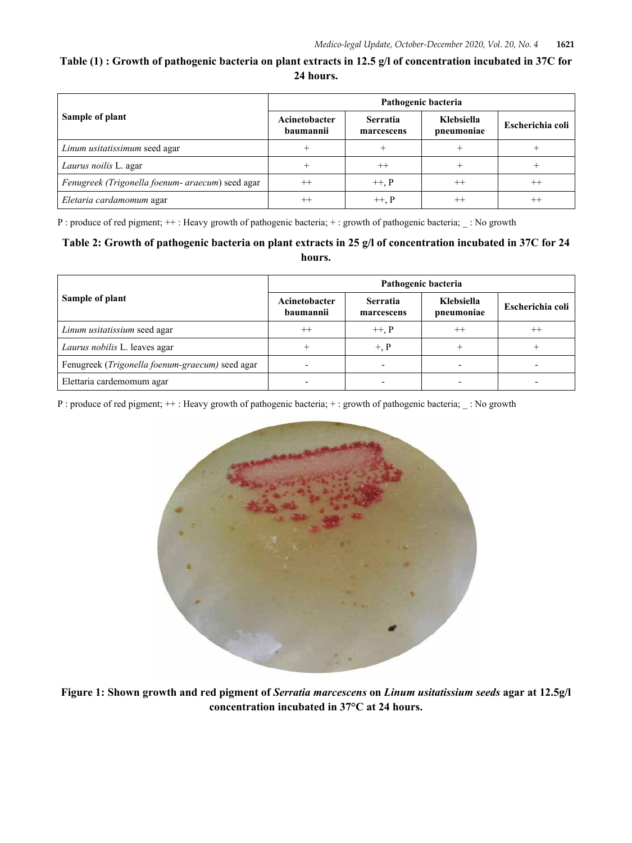# **Table (1) : Growth of pathogenic bacteria on plant extracts in 12.5 g/l of concentration incubated in 37C for 24 hours.**

| Sample of plant                                  | Pathogenic bacteria        |                               |                          |                  |  |
|--------------------------------------------------|----------------------------|-------------------------------|--------------------------|------------------|--|
|                                                  | Acinetobacter<br>baumannii | <b>Serratia</b><br>marcescens | Klebsiella<br>pneumoniae | Escherichia coli |  |
| Linum usitatissimum seed agar                    |                            |                               |                          |                  |  |
| Laurus noilis L. agar                            |                            |                               |                          |                  |  |
| Fenugreek (Trigonella foenum- araecum) seed agar | $^{++}$                    | $+, P$                        | $^{++}$                  | $^{++}$          |  |
| Eletaria cardamomum agar                         | $^{++}$                    | $+, P$                        | $^{++}$                  |                  |  |

P : produce of red pigment;  $++$  : Heavy growth of pathogenic bacteria;  $+$  : growth of pathogenic bacteria;  $\_$  : No growth

# **Table 2: Growth of pathogenic bacteria on plant extracts in 25 g/l of concentration incubated in 37C for 24 hours.**

| Sample of plant                                 | Pathogenic bacteria        |                               |                          |                  |  |
|-------------------------------------------------|----------------------------|-------------------------------|--------------------------|------------------|--|
|                                                 | Acinetobacter<br>baumannii | <b>Serratia</b><br>marcescens | Klebsiella<br>pneumoniae | Escherichia coli |  |
| Linum usitatissium seed agar                    | $^{++}$                    | $+, P$                        | $^{++}$                  | $^{++}$          |  |
| Laurus nobilis L. leaves agar                   |                            | $+, P$                        |                          |                  |  |
| Fenugreek (Trigonella foenum-graecum) seed agar |                            |                               |                          |                  |  |
| Elettaria cardemomum agar                       |                            |                               |                          |                  |  |

P : produce of red pigment; ++ : Heavy growth of pathogenic bacteria; + : growth of pathogenic bacteria; \_ : No growth



**Figure 1: Shown growth and red pigment of** *Serratia marcescens* **on** *Linum usitatissium seeds* **agar at 12.5g/l concentration incubated in 37°C at 24 hours.**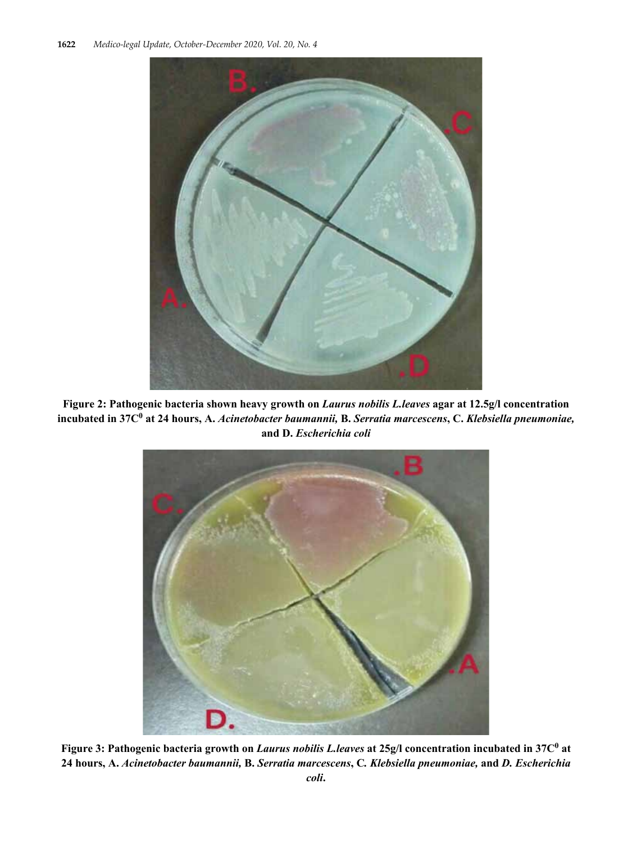

**Figure 2: Pathogenic bacteria shown heavy growth on** *Laurus nobilis L.leaves* **agar at 12.5g/l concentration incubated in 37C0 at 24 hours, A.** *Acinetobacter baumannii,* **B.** *Serratia marcescens***, C.** *Klebsiella pneumoniae,*  **and D.** *Escherichia coli*



**Figure 3: Pathogenic bacteria growth on** *Laurus nobilis L.leaves* **at 25g/l concentration incubated in 37C<sup>0</sup> at 24 hours, A.** *Acinetobacter baumannii,* **B.** *Serratia marcescens***, C***. Klebsiella pneumoniae,* **and** *D. Escherichia*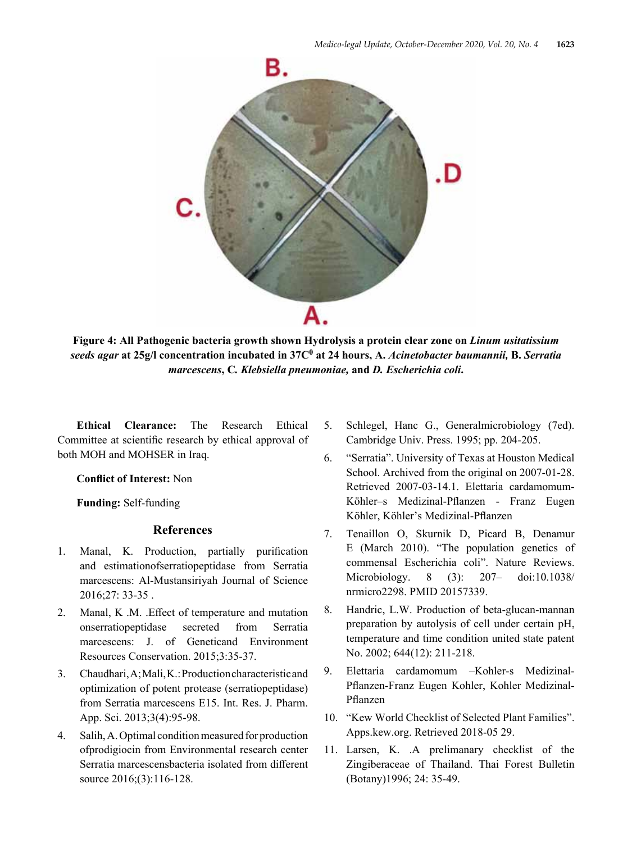

**Figure 4: All Pathogenic bacteria growth shown Hydrolysis a protein clear zone on** *Linum usitatissium seeds agar* **at 25g/l concentration incubated in 37C0 at 24 hours, A.** *Acinetobacter baumannii,* **B.** *Serratia marcescens***, C***. Klebsiella pneumoniae,* **and** *D. Escherichia coli***.**

**Ethical Clearance:** The Research Ethical Committee at scientific research by ethical approval of both MOH and MOHSER in Iraq.

**Conflict of Interest:** Non

**Funding:** Self-funding

## **References**

- 1. Manal, K. Production, partially purification and estimationofserratiopeptidase from Serratia marcescens: Al-Mustansiriyah Journal of Science 2016;27: 33-35 .
- 2. Manal, K .M. .Effect of temperature and mutation onserratiopeptidase secreted from Serratia marcescens: J. of Geneticand Environment Resources Conservation. 2015;3:35-37.
- 3. Chaudhari, A; Mali, K.: Production characteristic and optimization of potent protease (serratiopeptidase) from Serratia marcescens E15. Int. Res. J. Pharm. App. Sci. 2013;3(4):95-98.
- 4. Salih, A. Optimal condition measured for production ofprodigiocin from Environmental research center Serratia marcescensbacteria isolated from different source 2016;(3):116-128.
- 5. Schlegel, Hanc G., Generalmicrobiology (7ed). Cambridge Univ. Press. 1995; pp. 204-205.
- 6. "Serratia". University of Texas at Houston Medical School. Archived from the original on 2007-01-28. Retrieved 2007-03-14.1. Elettaria cardamomum-Köhler–s Medizinal-Pflanzen - Franz Eugen Köhler, Köhler's Medizinal-Pflanzen
- 7. Tenaillon O, Skurnik D, Picard B, Denamur E (March 2010). "The population genetics of commensal Escherichia coli". Nature Reviews. Microbiology. 8 (3): 207– doi:10.1038/ nrmicro2298. PMID 20157339.
- 8. Handric, L.W. Production of beta-glucan-mannan preparation by autolysis of cell under certain pH, temperature and time condition united state patent No. 2002; 644(12): 211-218.
- 9. Elettaria cardamomum –Kohler-s Medizinal-Pflanzen-Franz Eugen Kohler, Kohler Medizinal-Pflanzen
- 10. "Kew World Checklist of Selected Plant Families". Apps.kew.org. Retrieved 2018-05 29.
- 11. Larsen, K. .A prelimanary checklist of the Zingiberaceae of Thailand. Thai Forest Bulletin (Botany)1996; 24: 35-49.